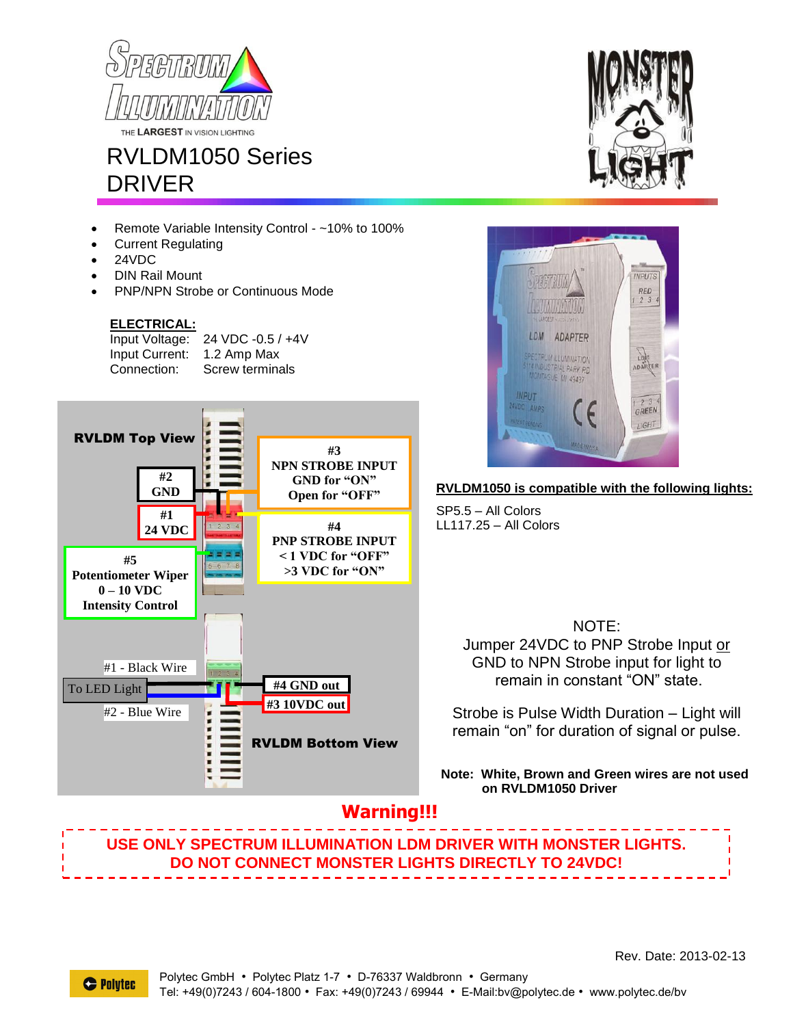



- Remote Variable Intensity Control ~10% to 100%
- Current Regulating
- 24VDC
- DIN Rail Mount
- PNP/NPN Strobe or Continuous Mode

#### **ELECTRICAL:**

Input Voltage: 24 VDC -0.5 / +4V Input Current: 1.2 Amp Max Connection: Screw terminals







### **RVLDM1050 is compatible with the following lights:**

SP5.5 – All Colors LL117.25 – All Colors

> NOTE: Jumper 24VDC to PNP Strobe Input or GND to NPN Strobe input for light to remain in constant "ON" state.

Strobe is Pulse Width Duration – Light will remain "on" for duration of signal or pulse.

**Note: White, Brown and Green wires are not used on RVLDM1050 Driver**

## **Warning!!!**

## **USE ONLY SPECTRUM ILLUMINATION LDM DRIVER WITH MONSTER LIGHTS. DO NOT CONNECT MONSTER LIGHTS DIRECTLY TO 24VDC!**